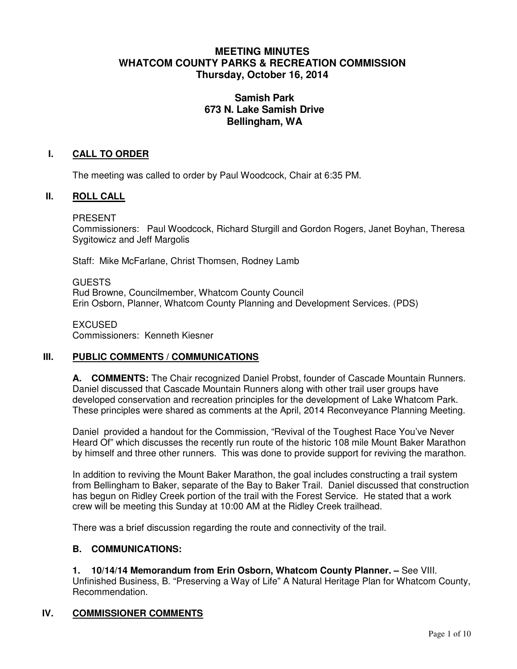# **MEETING MINUTES WHATCOM COUNTY PARKS & RECREATION COMMISSION Thursday, October 16, 2014**

# **Samish Park 673 N. Lake Samish Drive Bellingham, WA**

## **I. CALL TO ORDER**

The meeting was called to order by Paul Woodcock, Chair at 6:35 PM.

### **II. ROLL CALL**

PRESENT

Commissioners: Paul Woodcock, Richard Sturgill and Gordon Rogers, Janet Boyhan, Theresa Sygitowicz and Jeff Margolis

Staff: Mike McFarlane, Christ Thomsen, Rodney Lamb

GUESTS Rud Browne, Councilmember, Whatcom County Council Erin Osborn, Planner, Whatcom County Planning and Development Services. (PDS)

EXCUSED Commissioners: Kenneth Kiesner

## **III. PUBLIC COMMENTS / COMMUNICATIONS**

**A. COMMENTS:** The Chair recognized Daniel Probst, founder of Cascade Mountain Runners. Daniel discussed that Cascade Mountain Runners along with other trail user groups have developed conservation and recreation principles for the development of Lake Whatcom Park. These principles were shared as comments at the April, 2014 Reconveyance Planning Meeting.

Daniel provided a handout for the Commission, "Revival of the Toughest Race You've Never Heard Of" which discusses the recently run route of the historic 108 mile Mount Baker Marathon by himself and three other runners. This was done to provide support for reviving the marathon.

In addition to reviving the Mount Baker Marathon, the goal includes constructing a trail system from Bellingham to Baker, separate of the Bay to Baker Trail. Daniel discussed that construction has begun on Ridley Creek portion of the trail with the Forest Service. He stated that a work crew will be meeting this Sunday at 10:00 AM at the Ridley Creek trailhead.

There was a brief discussion regarding the route and connectivity of the trail.

#### **B. COMMUNICATIONS:**

#### **1. 10/14/14 Memorandum from Erin Osborn, Whatcom County Planner. –** See VIII.

Unfinished Business, B. "Preserving a Way of Life" A Natural Heritage Plan for Whatcom County, Recommendation.

## **IV. COMMISSIONER COMMENTS**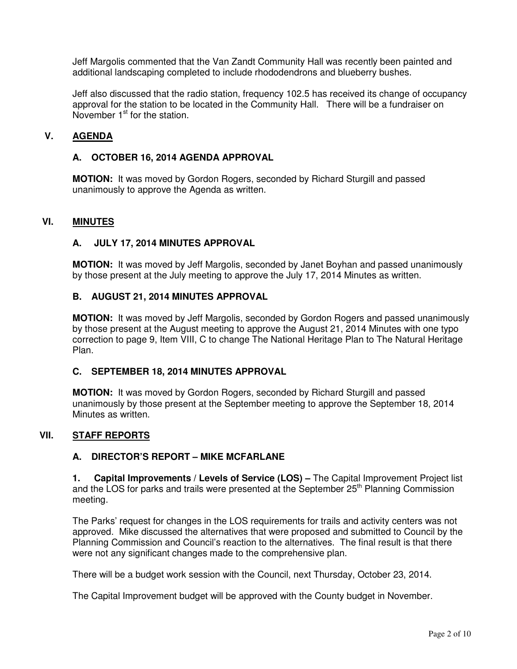Jeff Margolis commented that the Van Zandt Community Hall was recently been painted and additional landscaping completed to include rhododendrons and blueberry bushes.

Jeff also discussed that the radio station, frequency 102.5 has received its change of occupancy approval for the station to be located in the Community Hall. There will be a fundraiser on November  $1<sup>st</sup>$  for the station.

## **V. AGENDA**

## **A. OCTOBER 16, 2014 AGENDA APPROVAL**

**MOTION:** It was moved by Gordon Rogers, seconded by Richard Sturgill and passed unanimously to approve the Agenda as written.

## **VI. MINUTES**

### **A. JULY 17, 2014 MINUTES APPROVAL**

**MOTION:** It was moved by Jeff Margolis, seconded by Janet Boyhan and passed unanimously by those present at the July meeting to approve the July 17, 2014 Minutes as written.

#### **B. AUGUST 21, 2014 MINUTES APPROVAL**

**MOTION:** It was moved by Jeff Margolis, seconded by Gordon Rogers and passed unanimously by those present at the August meeting to approve the August 21, 2014 Minutes with one typo correction to page 9, Item VIII, C to change The National Heritage Plan to The Natural Heritage Plan.

#### **C. SEPTEMBER 18, 2014 MINUTES APPROVAL**

**MOTION:** It was moved by Gordon Rogers, seconded by Richard Sturgill and passed unanimously by those present at the September meeting to approve the September 18, 2014 Minutes as written.

## **VII. STAFF REPORTS**

### **A. DIRECTOR'S REPORT – MIKE MCFARLANE**

**1. Capital Improvements / Levels of Service (LOS) –** The Capital Improvement Project list and the LOS for parks and trails were presented at the September 25<sup>th</sup> Planning Commission meeting.

The Parks' request for changes in the LOS requirements for trails and activity centers was not approved. Mike discussed the alternatives that were proposed and submitted to Council by the Planning Commission and Council's reaction to the alternatives. The final result is that there were not any significant changes made to the comprehensive plan.

There will be a budget work session with the Council, next Thursday, October 23, 2014.

The Capital Improvement budget will be approved with the County budget in November.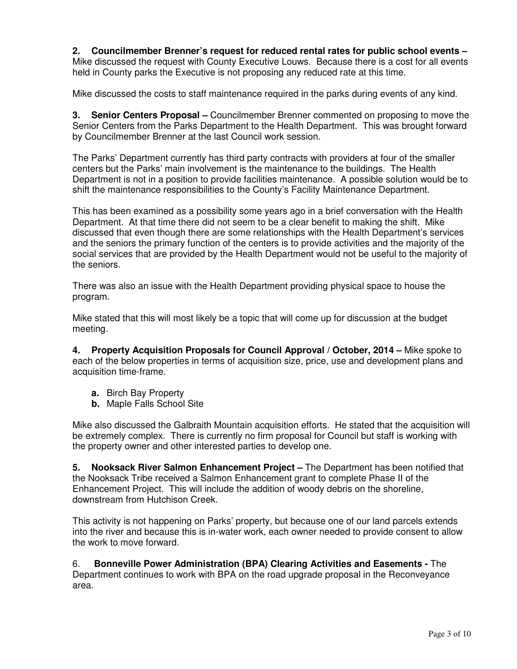**2. Councilmember Brenner's request for reduced rental rates for public school events –**  Mike discussed the request with County Executive Louws. Because there is a cost for all events held in County parks the Executive is not proposing any reduced rate at this time.

Mike discussed the costs to staff maintenance required in the parks during events of any kind.

**3. Senior Centers Proposal –** Councilmember Brenner commented on proposing to move the Senior Centers from the Parks Department to the Health Department. This was brought forward by Councilmember Brenner at the last Council work session.

The Parks' Department currently has third party contracts with providers at four of the smaller centers but the Parks' main involvement is the maintenance to the buildings. The Health Department is not in a position to provide facilities maintenance. A possible solution would be to shift the maintenance responsibilities to the County's Facility Maintenance Department.

This has been examined as a possibility some years ago in a brief conversation with the Health Department. At that time there did not seem to be a clear benefit to making the shift. Mike discussed that even though there are some relationships with the Health Department's services and the seniors the primary function of the centers is to provide activities and the majority of the social services that are provided by the Health Department would not be useful to the majority of the seniors.

There was also an issue with the Health Department providing physical space to house the program.

Mike stated that this will most likely be a topic that will come up for discussion at the budget meeting.

**4. Property Acquisition Proposals for Council Approval / October, 2014 –** Mike spoke to each of the below properties in terms of acquisition size, price, use and development plans and acquisition time-frame.

- **a.** Birch Bay Property
- **b.** Maple Falls School Site

Mike also discussed the Galbraith Mountain acquisition efforts. He stated that the acquisition will be extremely complex. There is currently no firm proposal for Council but staff is working with the property owner and other interested parties to develop one.

**5. Nooksack River Salmon Enhancement Project –** The Department has been notified that the Nooksack Tribe received a Salmon Enhancement grant to complete Phase II of the Enhancement Project. This will include the addition of woody debris on the shoreline, downstream from Hutchison Creek.

This activity is not happening on Parks' property, but because one of our land parcels extends into the river and because this is in-water work, each owner needed to provide consent to allow the work to move forward.

6. **Bonneville Power Administration (BPA) Clearing Activities and Easements -** The Department continues to work with BPA on the road upgrade proposal in the Reconveyance area.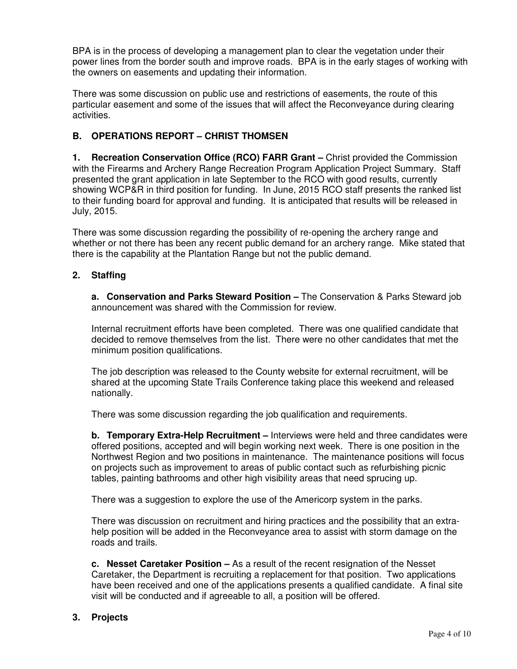BPA is in the process of developing a management plan to clear the vegetation under their power lines from the border south and improve roads. BPA is in the early stages of working with the owners on easements and updating their information.

There was some discussion on public use and restrictions of easements, the route of this particular easement and some of the issues that will affect the Reconveyance during clearing activities.

# **B. OPERATIONS REPORT – CHRIST THOMSEN**

**1. Recreation Conservation Office (RCO) FARR Grant – Christ provided the Commission** with the Firearms and Archery Range Recreation Program Application Project Summary. Staff presented the grant application in late September to the RCO with good results, currently showing WCP&R in third position for funding. In June, 2015 RCO staff presents the ranked list to their funding board for approval and funding. It is anticipated that results will be released in July, 2015.

There was some discussion regarding the possibility of re-opening the archery range and whether or not there has been any recent public demand for an archery range. Mike stated that there is the capability at the Plantation Range but not the public demand.

# **2. Staffing**

**a. Conservation and Parks Steward Position –** The Conservation & Parks Steward job announcement was shared with the Commission for review.

Internal recruitment efforts have been completed. There was one qualified candidate that decided to remove themselves from the list. There were no other candidates that met the minimum position qualifications.

The job description was released to the County website for external recruitment, will be shared at the upcoming State Trails Conference taking place this weekend and released nationally.

There was some discussion regarding the job qualification and requirements.

**b. Temporary Extra-Help Recruitment –** Interviews were held and three candidates were offered positions, accepted and will begin working next week. There is one position in the Northwest Region and two positions in maintenance. The maintenance positions will focus on projects such as improvement to areas of public contact such as refurbishing picnic tables, painting bathrooms and other high visibility areas that need sprucing up.

There was a suggestion to explore the use of the Americorp system in the parks.

There was discussion on recruitment and hiring practices and the possibility that an extrahelp position will be added in the Reconveyance area to assist with storm damage on the roads and trails.

**c. Nesset Caretaker Position –** As a result of the recent resignation of the Nesset Caretaker, the Department is recruiting a replacement for that position. Two applications have been received and one of the applications presents a qualified candidate. A final site visit will be conducted and if agreeable to all, a position will be offered.

# **3. Projects**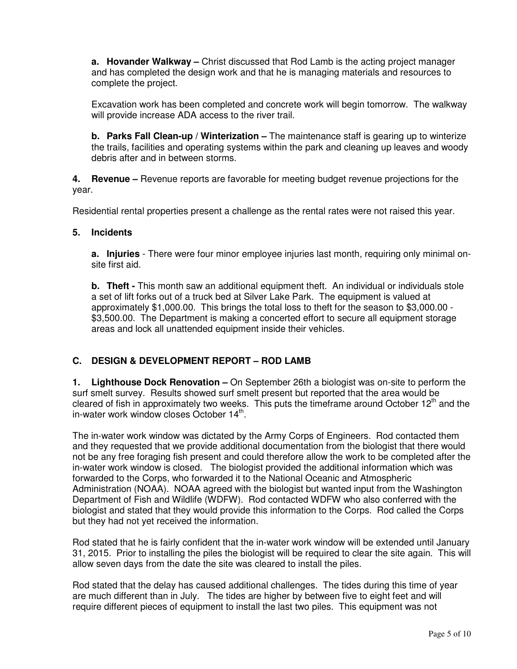**a. Hovander Walkway –** Christ discussed that Rod Lamb is the acting project manager and has completed the design work and that he is managing materials and resources to complete the project.

Excavation work has been completed and concrete work will begin tomorrow. The walkway will provide increase ADA access to the river trail.

**b. Parks Fall Clean-up / Winterization –** The maintenance staff is gearing up to winterize the trails, facilities and operating systems within the park and cleaning up leaves and woody debris after and in between storms.

**4. Revenue –** Revenue reports are favorable for meeting budget revenue projections for the year.

Residential rental properties present a challenge as the rental rates were not raised this year.

### **5. Incidents**

**a. Injuries** - There were four minor employee injuries last month, requiring only minimal onsite first aid.

**b.** Theft - This month saw an additional equipment theft. An individual or individuals stole a set of lift forks out of a truck bed at Silver Lake Park. The equipment is valued at approximately \$1,000.00. This brings the total loss to theft for the season to \$3,000.00 - \$3,500.00. The Department is making a concerted effort to secure all equipment storage areas and lock all unattended equipment inside their vehicles.

## **C. DESIGN & DEVELOPMENT REPORT – ROD LAMB**

**1. Lighthouse Dock Renovation –** On September 26th a biologist was on-site to perform the surf smelt survey. Results showed surf smelt present but reported that the area would be cleared of fish in approximately two weeks. This puts the timeframe around October  $12<sup>th</sup>$  and the in-water work window closes October 14<sup>th</sup>.

The in-water work window was dictated by the Army Corps of Engineers. Rod contacted them and they requested that we provide additional documentation from the biologist that there would not be any free foraging fish present and could therefore allow the work to be completed after the in-water work window is closed. The biologist provided the additional information which was forwarded to the Corps, who forwarded it to the National Oceanic and Atmospheric Administration (NOAA). NOAA agreed with the biologist but wanted input from the Washington Department of Fish and Wildlife (WDFW). Rod contacted WDFW who also conferred with the biologist and stated that they would provide this information to the Corps. Rod called the Corps but they had not yet received the information.

Rod stated that he is fairly confident that the in-water work window will be extended until January 31, 2015. Prior to installing the piles the biologist will be required to clear the site again. This will allow seven days from the date the site was cleared to install the piles.

Rod stated that the delay has caused additional challenges. The tides during this time of year are much different than in July. The tides are higher by between five to eight feet and will require different pieces of equipment to install the last two piles. This equipment was not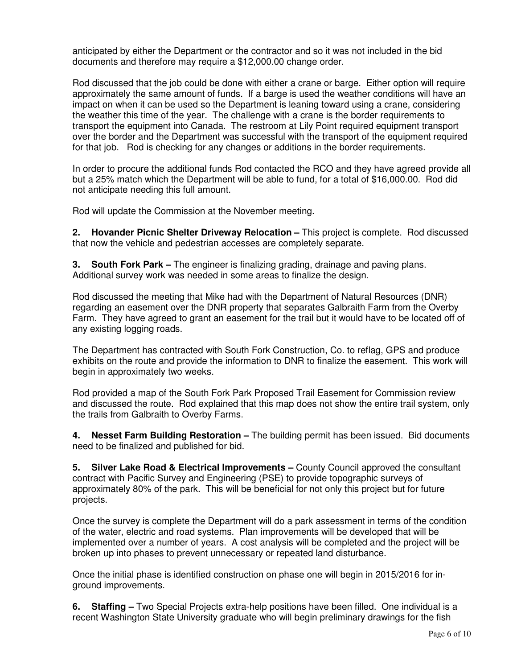anticipated by either the Department or the contractor and so it was not included in the bid documents and therefore may require a \$12,000.00 change order.

Rod discussed that the job could be done with either a crane or barge. Either option will require approximately the same amount of funds. If a barge is used the weather conditions will have an impact on when it can be used so the Department is leaning toward using a crane, considering the weather this time of the year. The challenge with a crane is the border requirements to transport the equipment into Canada. The restroom at Lily Point required equipment transport over the border and the Department was successful with the transport of the equipment required for that job. Rod is checking for any changes or additions in the border requirements.

In order to procure the additional funds Rod contacted the RCO and they have agreed provide all but a 25% match which the Department will be able to fund, for a total of \$16,000.00. Rod did not anticipate needing this full amount.

Rod will update the Commission at the November meeting.

**2. Hovander Picnic Shelter Driveway Relocation –** This project is complete. Rod discussed that now the vehicle and pedestrian accesses are completely separate.

**3. South Fork Park –** The engineer is finalizing grading, drainage and paving plans. Additional survey work was needed in some areas to finalize the design.

Rod discussed the meeting that Mike had with the Department of Natural Resources (DNR) regarding an easement over the DNR property that separates Galbraith Farm from the Overby Farm. They have agreed to grant an easement for the trail but it would have to be located off of any existing logging roads.

The Department has contracted with South Fork Construction, Co. to reflag, GPS and produce exhibits on the route and provide the information to DNR to finalize the easement. This work will begin in approximately two weeks.

Rod provided a map of the South Fork Park Proposed Trail Easement for Commission review and discussed the route. Rod explained that this map does not show the entire trail system, only the trails from Galbraith to Overby Farms.

**4. Nesset Farm Building Restoration –** The building permit has been issued. Bid documents need to be finalized and published for bid.

**5. Silver Lake Road & Electrical Improvements –** County Council approved the consultant contract with Pacific Survey and Engineering (PSE) to provide topographic surveys of approximately 80% of the park. This will be beneficial for not only this project but for future projects.

Once the survey is complete the Department will do a park assessment in terms of the condition of the water, electric and road systems. Plan improvements will be developed that will be implemented over a number of years. A cost analysis will be completed and the project will be broken up into phases to prevent unnecessary or repeated land disturbance.

Once the initial phase is identified construction on phase one will begin in 2015/2016 for inground improvements.

**6. Staffing –** Two Special Projects extra-help positions have been filled. One individual is a recent Washington State University graduate who will begin preliminary drawings for the fish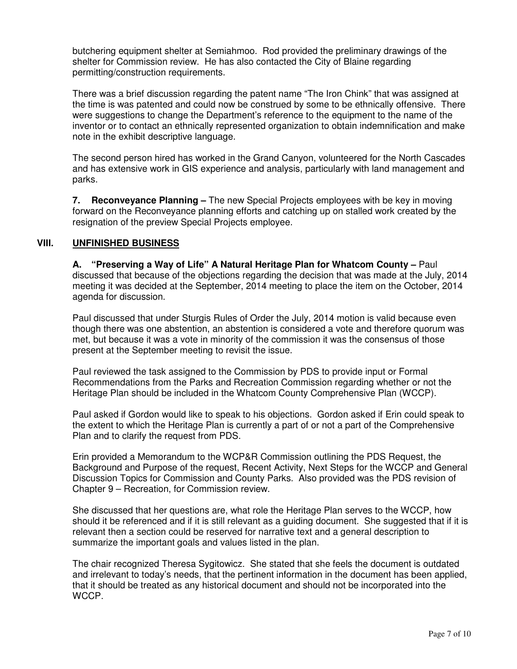butchering equipment shelter at Semiahmoo. Rod provided the preliminary drawings of the shelter for Commission review. He has also contacted the City of Blaine regarding permitting/construction requirements.

There was a brief discussion regarding the patent name "The Iron Chink" that was assigned at the time is was patented and could now be construed by some to be ethnically offensive. There were suggestions to change the Department's reference to the equipment to the name of the inventor or to contact an ethnically represented organization to obtain indemnification and make note in the exhibit descriptive language.

The second person hired has worked in the Grand Canyon, volunteered for the North Cascades and has extensive work in GIS experience and analysis, particularly with land management and parks.

**7. Reconveyance Planning –** The new Special Projects employees with be key in moving forward on the Reconveyance planning efforts and catching up on stalled work created by the resignation of the preview Special Projects employee.

## **VIII. UNFINISHED BUSINESS**

**A. "Preserving a Way of Life" A Natural Heritage Plan for Whatcom County –** Paul discussed that because of the objections regarding the decision that was made at the July, 2014 meeting it was decided at the September, 2014 meeting to place the item on the October, 2014 agenda for discussion.

Paul discussed that under Sturgis Rules of Order the July, 2014 motion is valid because even though there was one abstention, an abstention is considered a vote and therefore quorum was met, but because it was a vote in minority of the commission it was the consensus of those present at the September meeting to revisit the issue.

Paul reviewed the task assigned to the Commission by PDS to provide input or Formal Recommendations from the Parks and Recreation Commission regarding whether or not the Heritage Plan should be included in the Whatcom County Comprehensive Plan (WCCP).

Paul asked if Gordon would like to speak to his objections. Gordon asked if Erin could speak to the extent to which the Heritage Plan is currently a part of or not a part of the Comprehensive Plan and to clarify the request from PDS.

Erin provided a Memorandum to the WCP&R Commission outlining the PDS Request, the Background and Purpose of the request, Recent Activity, Next Steps for the WCCP and General Discussion Topics for Commission and County Parks. Also provided was the PDS revision of Chapter 9 – Recreation, for Commission review.

She discussed that her questions are, what role the Heritage Plan serves to the WCCP, how should it be referenced and if it is still relevant as a guiding document. She suggested that if it is relevant then a section could be reserved for narrative text and a general description to summarize the important goals and values listed in the plan.

The chair recognized Theresa Sygitowicz. She stated that she feels the document is outdated and irrelevant to today's needs, that the pertinent information in the document has been applied, that it should be treated as any historical document and should not be incorporated into the WCCP.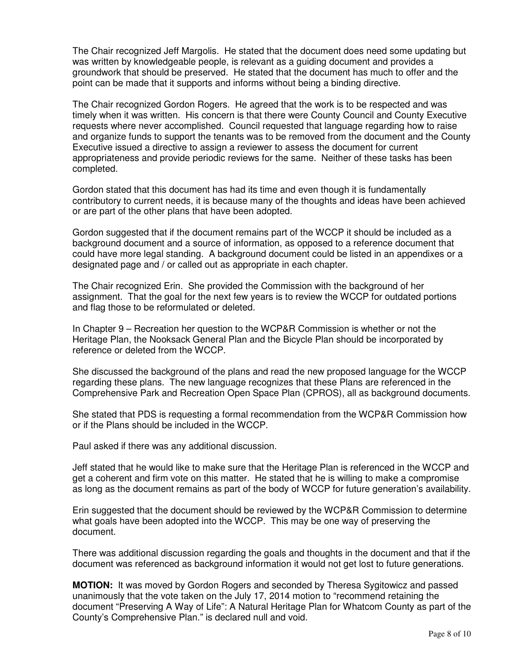The Chair recognized Jeff Margolis. He stated that the document does need some updating but was written by knowledgeable people, is relevant as a guiding document and provides a groundwork that should be preserved. He stated that the document has much to offer and the point can be made that it supports and informs without being a binding directive.

The Chair recognized Gordon Rogers. He agreed that the work is to be respected and was timely when it was written. His concern is that there were County Council and County Executive requests where never accomplished. Council requested that language regarding how to raise and organize funds to support the tenants was to be removed from the document and the County Executive issued a directive to assign a reviewer to assess the document for current appropriateness and provide periodic reviews for the same. Neither of these tasks has been completed.

Gordon stated that this document has had its time and even though it is fundamentally contributory to current needs, it is because many of the thoughts and ideas have been achieved or are part of the other plans that have been adopted.

Gordon suggested that if the document remains part of the WCCP it should be included as a background document and a source of information, as opposed to a reference document that could have more legal standing. A background document could be listed in an appendixes or a designated page and / or called out as appropriate in each chapter.

The Chair recognized Erin. She provided the Commission with the background of her assignment. That the goal for the next few years is to review the WCCP for outdated portions and flag those to be reformulated or deleted.

In Chapter 9 – Recreation her question to the WCP&R Commission is whether or not the Heritage Plan, the Nooksack General Plan and the Bicycle Plan should be incorporated by reference or deleted from the WCCP.

She discussed the background of the plans and read the new proposed language for the WCCP regarding these plans. The new language recognizes that these Plans are referenced in the Comprehensive Park and Recreation Open Space Plan (CPROS), all as background documents.

She stated that PDS is requesting a formal recommendation from the WCP&R Commission how or if the Plans should be included in the WCCP.

Paul asked if there was any additional discussion.

Jeff stated that he would like to make sure that the Heritage Plan is referenced in the WCCP and get a coherent and firm vote on this matter. He stated that he is willing to make a compromise as long as the document remains as part of the body of WCCP for future generation's availability.

Erin suggested that the document should be reviewed by the WCP&R Commission to determine what goals have been adopted into the WCCP. This may be one way of preserving the document.

There was additional discussion regarding the goals and thoughts in the document and that if the document was referenced as background information it would not get lost to future generations.

**MOTION:** It was moved by Gordon Rogers and seconded by Theresa Sygitowicz and passed unanimously that the vote taken on the July 17, 2014 motion to "recommend retaining the document "Preserving A Way of Life": A Natural Heritage Plan for Whatcom County as part of the County's Comprehensive Plan." is declared null and void.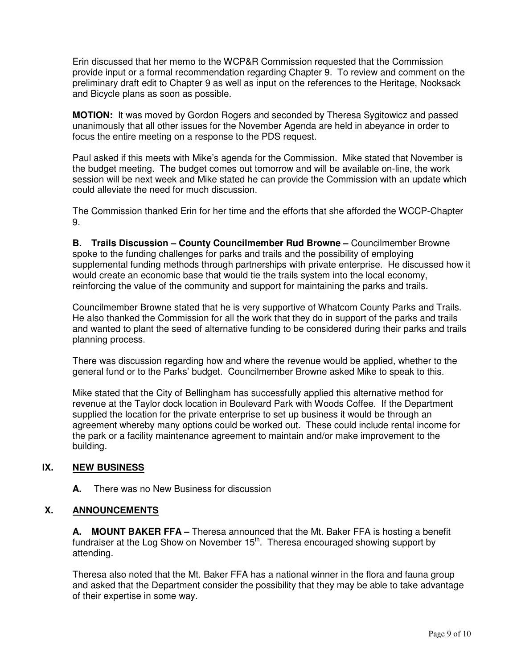Erin discussed that her memo to the WCP&R Commission requested that the Commission provide input or a formal recommendation regarding Chapter 9. To review and comment on the preliminary draft edit to Chapter 9 as well as input on the references to the Heritage, Nooksack and Bicycle plans as soon as possible.

**MOTION:** It was moved by Gordon Rogers and seconded by Theresa Sygitowicz and passed unanimously that all other issues for the November Agenda are held in abeyance in order to focus the entire meeting on a response to the PDS request.

Paul asked if this meets with Mike's agenda for the Commission. Mike stated that November is the budget meeting. The budget comes out tomorrow and will be available on-line, the work session will be next week and Mike stated he can provide the Commission with an update which could alleviate the need for much discussion.

The Commission thanked Erin for her time and the efforts that she afforded the WCCP-Chapter 9.

**B. Trails Discussion – County Councilmember Rud Browne –** Councilmember Browne spoke to the funding challenges for parks and trails and the possibility of employing supplemental funding methods through partnerships with private enterprise. He discussed how it would create an economic base that would tie the trails system into the local economy, reinforcing the value of the community and support for maintaining the parks and trails.

Councilmember Browne stated that he is very supportive of Whatcom County Parks and Trails. He also thanked the Commission for all the work that they do in support of the parks and trails and wanted to plant the seed of alternative funding to be considered during their parks and trails planning process.

There was discussion regarding how and where the revenue would be applied, whether to the general fund or to the Parks' budget. Councilmember Browne asked Mike to speak to this.

Mike stated that the City of Bellingham has successfully applied this alternative method for revenue at the Taylor dock location in Boulevard Park with Woods Coffee. If the Department supplied the location for the private enterprise to set up business it would be through an agreement whereby many options could be worked out. These could include rental income for the park or a facility maintenance agreement to maintain and/or make improvement to the building.

## **IX. NEW BUSINESS**

**A.** There was no New Business for discussion

## **X. ANNOUNCEMENTS**

**A. MOUNT BAKER FFA –** Theresa announced that the Mt. Baker FFA is hosting a benefit fundraiser at the Log Show on November  $15<sup>th</sup>$ . Theresa encouraged showing support by attending.

Theresa also noted that the Mt. Baker FFA has a national winner in the flora and fauna group and asked that the Department consider the possibility that they may be able to take advantage of their expertise in some way.